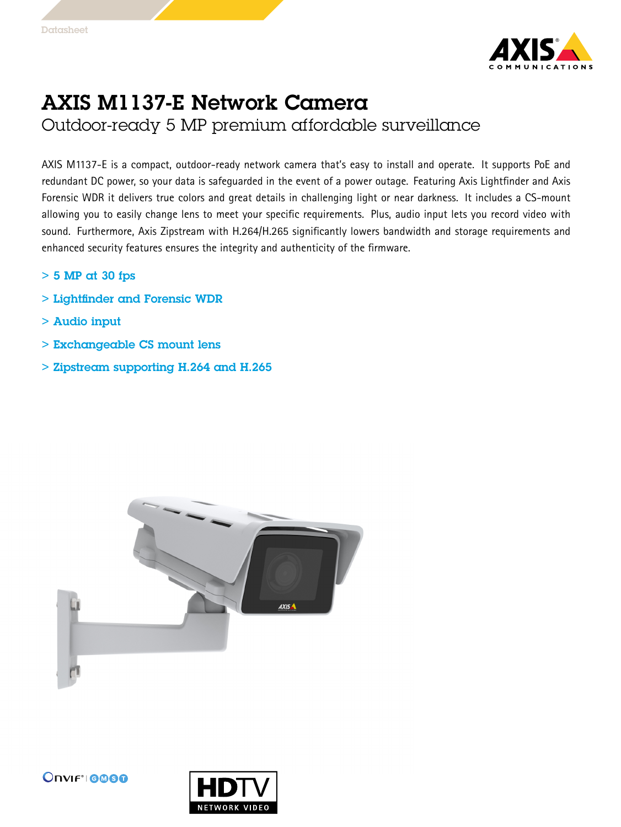

## AXIS M1137-E Network Camera

Outdoor-ready 5 MP premium affordable surveillance

AXIS M1137-E is <sup>a</sup> compact, outdoor-ready network camera that's easy to install and operate. It supports PoE and redundant DC power, so your data is safeguarded in the event of <sup>a</sup> power outage. Featuring Axis Lightfinder and Axis Forensic WDR it delivers true colors and great details in challenging light or near darkness. It includes <sup>a</sup> CS-mount allowing you to easily change lens to meet your specific requirements. Plus, audio input lets you record video with sound. Furthermore, Axis Zipstream with H.264/H.265 significantly lowers bandwidth and storage requirements and enhanced security features ensures the integrity and authenticity of the firmware.

- $> 5$  MP at 30 fps
- > Lightfinder and Forensic WDR
- > Audio input
- > Exchangeable CS mount lens
- > Zipstream supporting H.264 and H.265



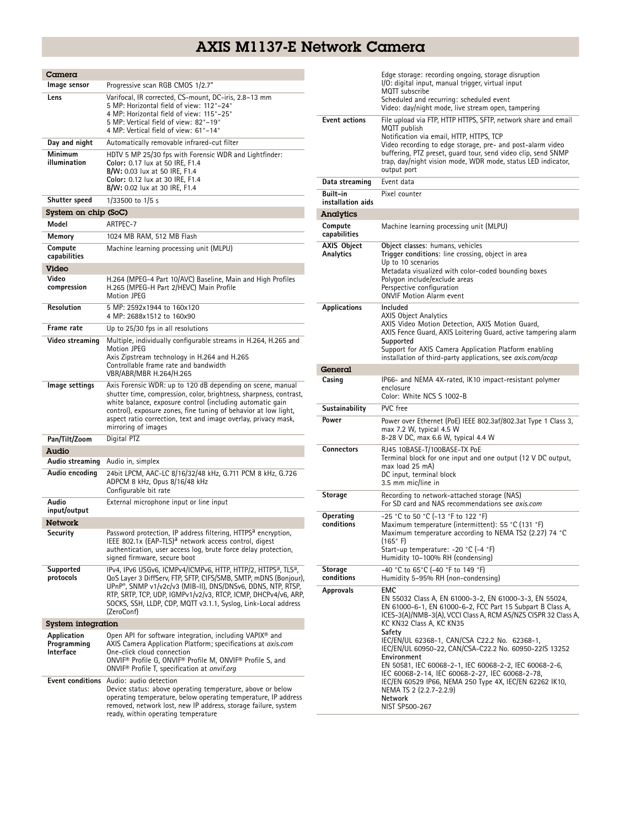## AXIS M1137-E Network Camera

| $C$ amera                               |                                                                                                                                                                                                                                                                                                                                                                             |  |
|-----------------------------------------|-----------------------------------------------------------------------------------------------------------------------------------------------------------------------------------------------------------------------------------------------------------------------------------------------------------------------------------------------------------------------------|--|
| Image sensor                            | Progressive scan RGB CMOS 1/2.7"                                                                                                                                                                                                                                                                                                                                            |  |
| Lens                                    | Varifocal, IR corrected, CS-mount, DC-iris, 2.8-13 mm<br>5 MP: Horizontal field of view: 112°-24°<br>4 MP: Horizontal field of view: 115°-25°<br>5 MP: Vertical field of view: 82°-19°<br>4 MP: Vertical field of view: 61°–14°                                                                                                                                             |  |
| Day and night                           | Automatically removable infrared-cut filter                                                                                                                                                                                                                                                                                                                                 |  |
| Minimum<br>illumination                 | HDTV 5 MP 25/30 fps with Forensic WDR and Lightfinder:<br>Color: 0.17 lux at 50 IRE, F1.4<br>B/W: 0.03 lux at 50 IRE, F1.4<br>Color: 0.12 lux at 30 IRE, F1.4<br>B/W: 0.02 lux at 30 IRE, F1.4                                                                                                                                                                              |  |
| Shutter speed                           | 1/33500 to 1/5 s                                                                                                                                                                                                                                                                                                                                                            |  |
| System on chip (SoC)                    |                                                                                                                                                                                                                                                                                                                                                                             |  |
| Model                                   | ARTPEC-7                                                                                                                                                                                                                                                                                                                                                                    |  |
| Memory                                  | 1024 MB RAM, 512 MB Flash                                                                                                                                                                                                                                                                                                                                                   |  |
| Compute<br>capabilities                 | Machine learning processing unit (MLPU)                                                                                                                                                                                                                                                                                                                                     |  |
| Video                                   |                                                                                                                                                                                                                                                                                                                                                                             |  |
| Video<br>compression                    | H.264 (MPEG-4 Part 10/AVC) Baseline, Main and High Profiles<br>H.265 (MPEG-H Part 2/HEVC) Main Profile<br>Motion JPEG                                                                                                                                                                                                                                                       |  |
| <b>Resolution</b>                       | 5 MP: 2592x1944 to 160x120<br>4 MP: 2688x1512 to 160x90                                                                                                                                                                                                                                                                                                                     |  |
| Frame rate                              | Up to 25/30 fps in all resolutions                                                                                                                                                                                                                                                                                                                                          |  |
| Video streaming                         | Multiple, individually configurable streams in H.264, H.265 and<br>Motion JPEG<br>Axis Zipstream technology in H.264 and H.265<br>Controllable frame rate and bandwidth<br>VBR/ABR/MBR H.264/H.265                                                                                                                                                                          |  |
| Image settings                          | Axis Forensic WDR: up to 120 dB depending on scene, manual<br>shutter time, compression, color, brightness, sharpness, contrast,<br>white balance, exposure control (including automatic gain<br>control), exposure zones, fine tuning of behavior at low light,<br>aspect ratio correction, text and image overlay, privacy mask,<br>mirroring of images                   |  |
| Pan/Tilt/Zoom                           | Digital PTZ                                                                                                                                                                                                                                                                                                                                                                 |  |
| Audio                                   |                                                                                                                                                                                                                                                                                                                                                                             |  |
| Audio streaming                         | Audio in, simplex                                                                                                                                                                                                                                                                                                                                                           |  |
| Audio encoding                          | 24bit LPCM, AAC-LC 8/16/32/48 kHz, G.711 PCM 8 kHz, G.726<br>ADPCM 8 kHz, Opus 8/16/48 kHz<br>Configurable bit rate                                                                                                                                                                                                                                                         |  |
| Audio<br>input/output                   | External microphone input or line input                                                                                                                                                                                                                                                                                                                                     |  |
| <b>Network</b>                          |                                                                                                                                                                                                                                                                                                                                                                             |  |
| Security                                | Password protection, IP address filtering, HTTPS <sup>a</sup> encryption,<br>IEEE 802.1x (EAP-TLS) <sup>a</sup> network access control, digest<br>authentication, user access log, brute force delay protection,<br>signed firmware, secure boot                                                                                                                            |  |
| Supported<br>protocols                  | IPv4, IPv6 USGv6, ICMPv4/ICMPv6, HTTP, HTTP/2, HTTPS <sup>a</sup> , TLS <sup>a</sup> ,<br>QoS Layer 3 DiffServ, FTP, SFTP, CIFS/SMB, SMTP, mDNS (Bonjour),<br>UPnP®. SNMP v1/v2c/v3 (MIB-II). DNS/DNSv6. DDNS. NTP. RTSP.<br>RTP, SRTP, TCP, UDP, IGMPv1/v2/v3, RTCP, ICMP, DHCPv4/v6, ARP,<br>SOCKS, SSH, LLDP, CDP, MQTT v3.1.1, Syslog, Link-Local address<br>(ZeroConf) |  |
| <b>System integration</b>               |                                                                                                                                                                                                                                                                                                                                                                             |  |
| Application<br>Programming<br>Interface | Open API for software integration, including VAPIX <sup>®</sup> and<br>AXIS Camera Application Platform; specifications at axis.com<br>One-click cloud connection<br>ONVIF® Profile G, ONVIF® Profile M, ONVIF® Profile S, and<br>ONVIF <sup>®</sup> Profile T, specification at onvif.org                                                                                  |  |
| <b>Event conditions</b>                 | Audio: audio detection<br>Device status: above operating temperature, above or below<br>operating temperature, below operating temperature, IP address<br>removed, network lost, new IP address, storage failure, system<br>ready, within operating temperature                                                                                                             |  |

|                                 | Edge storage: recording ongoing, storage disruption<br>I/O: digital input, manual trigger, virtual input<br>MQTT subscribe<br>Scheduled and recurring: scheduled event<br>Video: day/night mode, live stream open, tampering                                                                                                                                                                                                                                                       |
|---------------------------------|------------------------------------------------------------------------------------------------------------------------------------------------------------------------------------------------------------------------------------------------------------------------------------------------------------------------------------------------------------------------------------------------------------------------------------------------------------------------------------|
| <b>Event actions</b>            | File upload via FTP, HTTP HTTPS, SFTP, network share and email<br>MQTT publish<br>Notification via email, HTTP, HTTPS, TCP<br>Video recording to edge storage, pre- and post-alarm video<br>buffering, PTZ preset, guard tour, send video clip, send SNMP<br>trap, day/night vision mode, WDR mode, status LED indicator,<br>output port                                                                                                                                           |
| Data streaming                  | Event data                                                                                                                                                                                                                                                                                                                                                                                                                                                                         |
| Built-in<br>installation aids   | Pixel counter                                                                                                                                                                                                                                                                                                                                                                                                                                                                      |
| Analytics                       |                                                                                                                                                                                                                                                                                                                                                                                                                                                                                    |
| Compute<br>capabilities         | Machine learning processing unit (MLPU)                                                                                                                                                                                                                                                                                                                                                                                                                                            |
| <b>AXIS Object</b><br>Analytics | Object classes: humans, vehicles<br>Trigger conditions: line crossing, object in area<br>Up to 10 scenarios<br>Metadata visualized with color-coded bounding boxes<br>Polygon include/exclude areas<br>Perspective configuration<br><b>ONVIF Motion Alarm event</b>                                                                                                                                                                                                                |
| Applications                    | Included<br><b>AXIS Object Analytics</b><br>AXIS Video Motion Detection, AXIS Motion Guard,<br>AXIS Fence Guard, AXIS Loitering Guard, active tampering alarm<br>Supported<br>Support for AXIS Camera Application Platform enabling<br>installation of third-party applications, see axis.com/acap                                                                                                                                                                                 |
| General                         |                                                                                                                                                                                                                                                                                                                                                                                                                                                                                    |
| Casing                          | IP66- and NEMA 4X-rated, IK10 impact-resistant polymer<br>enclosure<br>Color: White NCS S 1002-B                                                                                                                                                                                                                                                                                                                                                                                   |
| Sustainability                  | PVC free                                                                                                                                                                                                                                                                                                                                                                                                                                                                           |
| Power                           | Power over Ethernet (PoE) IEEE 802.3af/802.3at Type 1 Class 3,<br>max 7.2 W, typical 4.5 W<br>8-28 V DC, max 6.6 W, typical 4.4 W                                                                                                                                                                                                                                                                                                                                                  |
| <b>Connectors</b>               | RJ45 10BASE-T/100BASE-TX PoE<br>Terminal block for one input and one output (12 V DC output,<br>max load 25 mA)<br>DC input, terminal block<br>3.5 mm mic/line in                                                                                                                                                                                                                                                                                                                  |
| Storage                         | Recording to network-attached storage (NAS)<br>For SD card and NAS recommendations see axis.com                                                                                                                                                                                                                                                                                                                                                                                    |
| Operating<br>conditions         | -25 °C to 50 °C (-13 °F to 122 °F)<br>Maximum temperature (intermittent): 55 °C (131 °F)<br>Maximum temperature according to NEMA TS2 (2.27) 74 °C<br>$(165°)$ F)<br>Start-up temperature: -20 °C (-4 °F)<br>Humidity 10-100% RH (condensing)                                                                                                                                                                                                                                      |
| <b>Storage</b><br>conditions    | -40 °C to 65°C (-40 °F to 149 °F)<br>Humidity 5-95% RH (non-condensing)                                                                                                                                                                                                                                                                                                                                                                                                            |
| Approvals                       | <b>EMC</b><br>EN 55032 Class A, EN 61000-3-2, EN 61000-3-3, EN 55024,<br>EN 61000-6-1, EN 61000-6-2, FCC Part 15 Subpart B Class A,<br>ICES-3(A)/NMB-3(A), VCCI Class A, RCM AS/NZS CISPR 32 Class A,<br>KC KN32 Class A, KC KN35<br>Safety<br>IEC/EN/UL 62368-1, CAN/CSA C22.2 No. 62368-1,<br>IEC/EN/UL 60950-22, CAN/CSA-C22.2 No. 60950-22IS 13252<br>Environment<br>EN 50581, IEC 60068-2-1, IEC 60068-2-2, IEC 60068-2-6,<br>IEC 60068-2-14, IEC 60068-2-27, IEC 60068-2-78, |
|                                 | IEC/EN 60529 IP66, NEMA 250 Type 4X, IEC/EN 62262 IK10,<br>NEMA TS 2 (2.2.7-2.2.9)<br>Network<br>NIST SP500-267                                                                                                                                                                                                                                                                                                                                                                    |